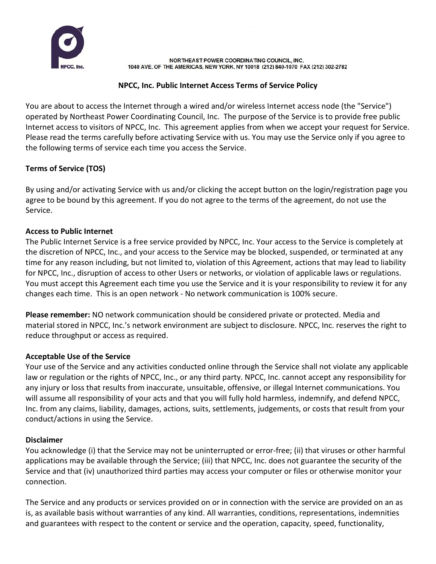

NORTHEAST POWER COORDINATING COUNCIL, INC. 1040 AVE. OF THE AMERICAS, NEW YORK, NY 10018 (212) 840-1070 FAX (212) 302-2782

#### **NPCC, Inc. Public Internet Access Terms of Service Policy**

You are about to access the Internet through a wired and/or wireless Internet access node (the "Service") operated by Northeast Power Coordinating Council, Inc. The purpose of the Service is to provide free public Internet access to visitors of NPCC, Inc. This agreement applies from when we accept your request for Service. Please read the terms carefully before activating Service with us. You may use the Service only if you agree to the following terms of service each time you access the Service.

### **Terms of Service (TOS)**

By using and/or activating Service with us and/or clicking the accept button on the login/registration page you agree to be bound by this agreement. If you do not agree to the terms of the agreement, do not use the Service.

#### **Access to Public Internet**

The Public Internet Service is a free service provided by NPCC, Inc. Your access to the Service is completely at the discretion of NPCC, Inc., and your access to the Service may be blocked, suspended, or terminated at any time for any reason including, but not limited to, violation of this Agreement, actions that may lead to liability for NPCC, Inc., disruption of access to other Users or networks, or violation of applicable laws or regulations. You must accept this Agreement each time you use the Service and it is your responsibility to review it for any changes each time. This is an open network - No network communication is 100% secure.

**Please remember:** NO network communication should be considered private or protected. Media and material stored in NPCC, Inc.'s network environment are subject to disclosure. NPCC, Inc. reserves the right to reduce throughput or access as required.

#### **Acceptable Use of the Service**

Your use of the Service and any activities conducted online through the Service shall not violate any applicable law or regulation or the rights of NPCC, Inc., or any third party. NPCC, Inc. cannot accept any responsibility for any injury or loss that results from inaccurate, unsuitable, offensive, or illegal Internet communications. You will assume all responsibility of your acts and that you will fully hold harmless, indemnify, and defend NPCC, Inc. from any claims, liability, damages, actions, suits, settlements, judgements, or costs that result from your conduct/actions in using the Service.

#### **Disclaimer**

You acknowledge (i) that the Service may not be uninterrupted or error-free; (ii) that viruses or other harmful applications may be available through the Service; (iii) that NPCC, Inc. does not guarantee the security of the Service and that (iv) unauthorized third parties may access your computer or files or otherwise monitor your connection.

The Service and any products or services provided on or in connection with the service are provided on an as is, as available basis without warranties of any kind. All warranties, conditions, representations, indemnities and guarantees with respect to the content or service and the operation, capacity, speed, functionality,